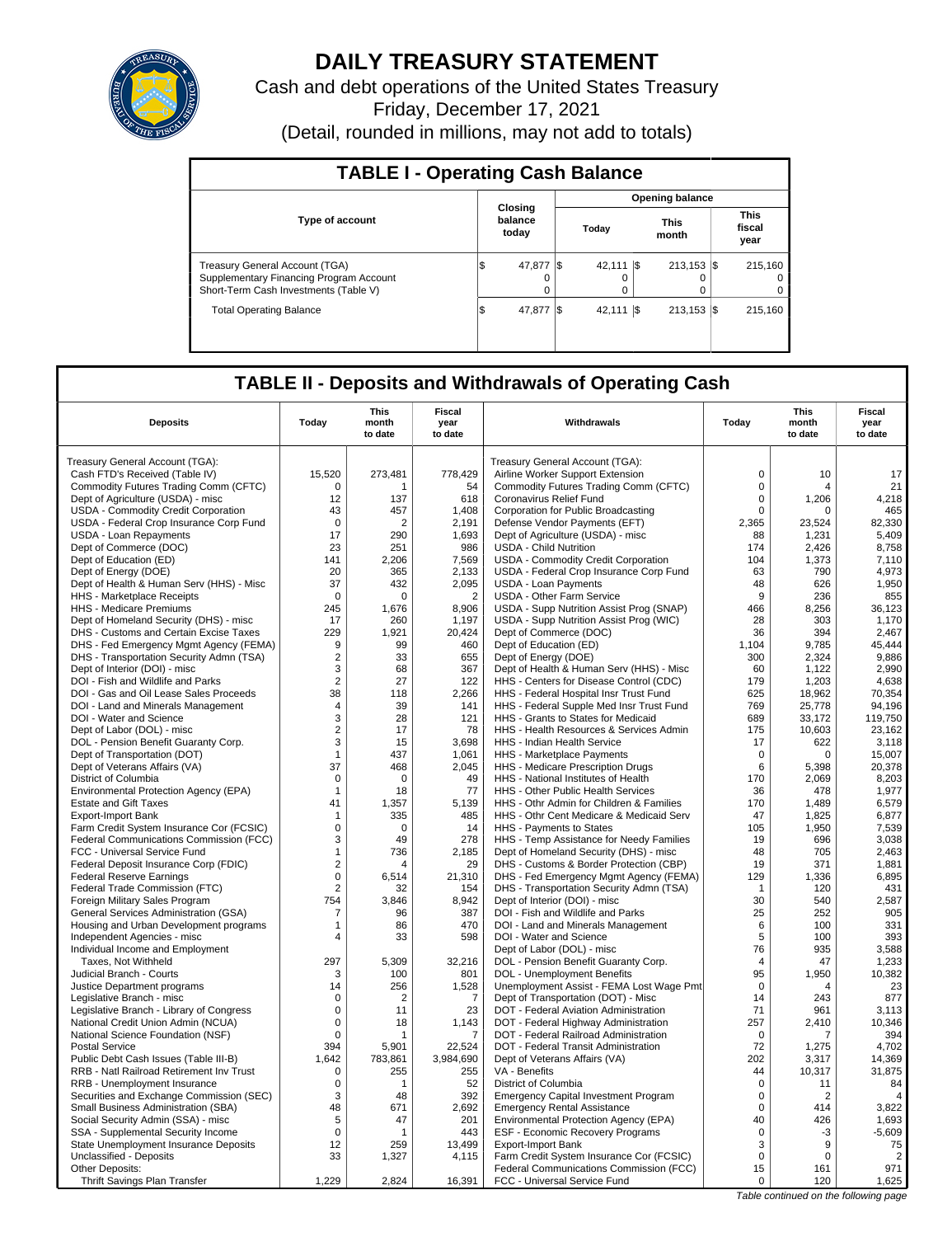

# **DAILY TREASURY STATEMENT**

Cash and debt operations of the United States Treasury Friday, December 17, 2021 (Detail, rounded in millions, may not add to totals)

| <b>TABLE I - Operating Cash Balance</b>                                                                                   |                             |       |                        |                      |                                |  |                               |  |  |  |
|---------------------------------------------------------------------------------------------------------------------------|-----------------------------|-------|------------------------|----------------------|--------------------------------|--|-------------------------------|--|--|--|
|                                                                                                                           | <b>Opening balance</b>      |       |                        |                      |                                |  |                               |  |  |  |
| <b>Type of account</b>                                                                                                    | Closing<br>balance<br>today | Today |                        | <b>This</b><br>month |                                |  | <b>This</b><br>fiscal<br>year |  |  |  |
| <b>Treasury General Account (TGA)</b><br>Supplementary Financing Program Account<br>Short-Term Cash Investments (Table V) | 47.877<br>S<br>0            |       | 42.111 \\$<br>$\Omega$ |                      | $213.153$ $\sqrt{5}$<br>0<br>0 |  | 215.160<br>$\Omega$<br>0      |  |  |  |
| <b>Total Operating Balance</b>                                                                                            | 1\$<br>47.877               |       | 42.111 \\$             |                      | $213.153$ $\sqrt{5}$           |  | 215.160                       |  |  |  |

## **TABLE II - Deposits and Withdrawals of Operating Cash**

|                                              |                | <b>This</b>    | <b>This</b>           |                                             |                |                                       |                       |  |  |
|----------------------------------------------|----------------|----------------|-----------------------|---------------------------------------------|----------------|---------------------------------------|-----------------------|--|--|
| <b>Deposits</b>                              | Today          | month          | <b>Fiscal</b><br>year | Withdrawals                                 | Today          | month                                 | <b>Fiscal</b><br>year |  |  |
|                                              |                | to date        | to date               |                                             |                | to date                               | to date               |  |  |
| Treasury General Account (TGA):              |                |                |                       | Treasury General Account (TGA):             |                |                                       |                       |  |  |
| Cash FTD's Received (Table IV)               | 15,520         | 273,481        | 778,429               | Airline Worker Support Extension            | $\mathbf 0$    | 10                                    | 17                    |  |  |
| Commodity Futures Trading Comm (CFTC)        | $\Omega$       | 1              | 54                    | Commodity Futures Trading Comm (CFTC)       | $\Omega$       | 4                                     | 21                    |  |  |
| Dept of Agriculture (USDA) - misc            | 12             | 137            | 618                   | Coronavirus Relief Fund                     | 0              | 1,206                                 | 4,218                 |  |  |
| USDA - Commodity Credit Corporation          | 43             | 457            | 1,408                 | Corporation for Public Broadcasting         | 0              | $\Omega$                              | 465                   |  |  |
| USDA - Federal Crop Insurance Corp Fund      | $\Omega$       | $\overline{2}$ | 2,191                 | Defense Vendor Payments (EFT)               | 2,365          | 23,524                                | 82,330                |  |  |
| USDA - Loan Repayments                       | 17             | 290            | 1,693                 | Dept of Agriculture (USDA) - misc           | 88             | 1,231                                 | 5,409                 |  |  |
| Dept of Commerce (DOC)                       | 23             | 251            | 986                   | <b>USDA - Child Nutrition</b>               | 174            | 2,426                                 | 8,758                 |  |  |
| Dept of Education (ED)                       | 141            | 2.206          | 7,569                 | USDA - Commodity Credit Corporation         | 104            | 1,373                                 | 7.110                 |  |  |
| Dept of Energy (DOE)                         | 20             | 365            | 2,133                 | USDA - Federal Crop Insurance Corp Fund     | 63             | 790                                   | 4,973                 |  |  |
| Dept of Health & Human Serv (HHS) - Misc     | 37             | 432            | 2.095                 | <b>USDA - Loan Payments</b>                 | 48             | 626                                   | 1.950                 |  |  |
| HHS - Marketplace Receipts                   | $\Omega$       | $\Omega$       | $\overline{2}$        | <b>USDA - Other Farm Service</b>            | 9              | 236                                   | 855                   |  |  |
| HHS - Medicare Premiums                      | 245            | 1.676          | 8,906                 | USDA - Supp Nutrition Assist Prog (SNAP)    | 466            | 8,256                                 | 36.123                |  |  |
| Dept of Homeland Security (DHS) - misc       | 17             | 260            | 1,197                 | USDA - Supp Nutrition Assist Prog (WIC)     | 28             | 303                                   | 1,170                 |  |  |
| DHS - Customs and Certain Excise Taxes       | 229            | 1.921          | 20.424                | Dept of Commerce (DOC)                      | 36             | 394                                   | 2.467                 |  |  |
| DHS - Fed Emergency Mgmt Agency (FEMA)       | 9              | 99             | 460                   | Dept of Education (ED)                      | 1,104          | 9,785                                 | 45,444                |  |  |
| DHS - Transportation Security Admn (TSA)     | $\overline{2}$ | 33             | 655                   | Dept of Energy (DOE)                        | 300            | 2,324                                 | 9,886                 |  |  |
| Dept of Interior (DOI) - misc                | 3              | 68             | 367                   | Dept of Health & Human Serv (HHS) - Misc    | 60             | 1,122                                 | 2,990                 |  |  |
| DOI - Fish and Wildlife and Parks            | 2              | 27             | 122                   | HHS - Centers for Disease Control (CDC)     | 179            | 1,203                                 | 4.638                 |  |  |
| DOI - Gas and Oil Lease Sales Proceeds       | 38             | 118            | 2,266                 | HHS - Federal Hospital Insr Trust Fund      | 625            | 18,962                                | 70,354                |  |  |
| DOI - Land and Minerals Management           | 4              | 39             | 141                   | HHS - Federal Supple Med Insr Trust Fund    | 769            | 25,778                                | 94,196                |  |  |
| DOI - Water and Science                      | 3              | 28             | 121                   | HHS - Grants to States for Medicaid         | 689            | 33,172                                | 119,750               |  |  |
| Dept of Labor (DOL) - misc                   | $\overline{2}$ | 17             | 78                    | HHS - Health Resources & Services Admin     | 175            | 10.603                                | 23.162                |  |  |
| DOL - Pension Benefit Guaranty Corp.         | 3              | 15             | 3,698                 | HHS - Indian Health Service                 | 17             | 622                                   | 3,118                 |  |  |
| Dept of Transportation (DOT)                 | $\mathbf{1}$   | 437            | 1,061                 | HHS - Marketplace Payments                  | 0              | 0                                     | 15,007                |  |  |
| Dept of Veterans Affairs (VA)                | 37             | 468            | 2,045                 | HHS - Medicare Prescription Drugs           | 6              | 5,398                                 | 20,378                |  |  |
| District of Columbia                         | $\mathbf 0$    | $\Omega$       | 49                    | HHS - National Institutes of Health         | 170            | 2,069                                 | 8,203                 |  |  |
| Environmental Protection Agency (EPA)        | $\mathbf{1}$   | 18             | 77                    | HHS - Other Public Health Services          | 36             | 478                                   | 1,977                 |  |  |
| <b>Estate and Gift Taxes</b>                 | 41             | 1,357          | 5,139                 | HHS - Othr Admin for Children & Families    | 170            | 1,489                                 | 6,579                 |  |  |
| Export-Import Bank                           | 1              | 335            | 485                   | HHS - Othr Cent Medicare & Medicaid Serv    | 47             | 1,825                                 | 6,877                 |  |  |
| Farm Credit System Insurance Cor (FCSIC)     | 0              | $\Omega$       | 14                    | HHS - Payments to States                    | 105            | 1,950                                 | 7,539                 |  |  |
| Federal Communications Commission (FCC)      | 3              | 49             | 278                   | HHS - Temp Assistance for Needy Families    | 19             | 696                                   | 3,038                 |  |  |
| FCC - Universal Service Fund                 | $\mathbf{1}$   | 736            | 2,185                 | Dept of Homeland Security (DHS) - misc      | 48             | 705                                   | 2,463                 |  |  |
| Federal Deposit Insurance Corp (FDIC)        | $\overline{2}$ |                | 29                    | DHS - Customs & Border Protection (CBP)     | 19             | 371                                   | 1,881                 |  |  |
| <b>Federal Reserve Earnings</b>              | 0              | 6,514          | 21,310                | DHS - Fed Emergency Mgmt Agency (FEMA)      | 129            | 1,336                                 | 6,895                 |  |  |
| Federal Trade Commission (FTC)               | $\overline{2}$ | 32             | 154                   | DHS - Transportation Security Admn (TSA)    | $\mathbf{1}$   | 120                                   | 431                   |  |  |
| Foreign Military Sales Program               | 754            | 3,846          | 8,942                 | Dept of Interior (DOI) - misc               | 30             | 540                                   | 2,587                 |  |  |
| <b>General Services Administration (GSA)</b> | 7              | 96             | 387                   | DOI - Fish and Wildlife and Parks           | 25             | 252                                   | 905                   |  |  |
| Housing and Urban Development programs       | 1              | 86             | 470                   | DOI - Land and Minerals Management          | 6              | 100                                   | 331                   |  |  |
| Independent Agencies - misc                  | $\overline{4}$ | 33             | 598                   | DOI - Water and Science                     | 5              | 100                                   | 393                   |  |  |
| Individual Income and Employment             |                |                |                       | Dept of Labor (DOL) - misc                  | 76             | 935                                   | 3,588                 |  |  |
| Taxes. Not Withheld                          | 297            | 5.309          | 32.216                | DOL - Pension Benefit Guaranty Corp.        | $\overline{4}$ | 47                                    | 1,233                 |  |  |
| Judicial Branch - Courts                     | 3              | 100            | 801                   | DOL - Unemployment Benefits                 | 95             | 1,950                                 | 10,382                |  |  |
| Justice Department programs                  | 14             | 256            | 1,528                 | Unemployment Assist - FEMA Lost Wage Pmt    | $\mathbf 0$    | $\overline{4}$                        | 23                    |  |  |
| Legislative Branch - misc                    | $\Omega$       | 2              | $\overline{7}$        | Dept of Transportation (DOT) - Misc         | 14             | 243                                   | 877                   |  |  |
| Legislative Branch - Library of Congress     | 0              | 11             | 23                    | DOT - Federal Aviation Administration       | 71             | 961                                   | 3.113                 |  |  |
| National Credit Union Admin (NCUA)           | 0              | 18             | 1,143                 | DOT - Federal Highway Administration        | 257            | 2,410                                 | 10,346                |  |  |
| National Science Foundation (NSF)            | $\mathbf 0$    | $\overline{1}$ | 7                     | DOT - Federal Railroad Administration       | $\mathbf 0$    | 7                                     | 394                   |  |  |
| <b>Postal Service</b>                        | 394            | 5,901          | 22,524                | DOT - Federal Transit Administration        | 72             | 1,275                                 | 4,702                 |  |  |
| Public Debt Cash Issues (Table III-B)        | 1.642          | 783.861        | 3,984,690             | Dept of Veterans Affairs (VA)               | 202            | 3,317                                 | 14.369                |  |  |
| RRB - Natl Railroad Retirement Inv Trust     | $\mathbf 0$    | 255            | 255                   | VA - Benefits                               | 44             | 10,317                                | 31,875                |  |  |
| RRB - Unemployment Insurance                 | 0              | 1              | 52                    | District of Columbia                        | $\mathbf 0$    | 11                                    | 84                    |  |  |
| Securities and Exchange Commission (SEC)     | 3              | 48             | 392                   | <b>Emergency Capital Investment Program</b> | $\Omega$       | $\overline{2}$                        | $\overline{4}$        |  |  |
| Small Business Administration (SBA)          | 48             | 671            | 2.692                 | <b>Emergency Rental Assistance</b>          | $\Omega$       | 414                                   | 3,822                 |  |  |
| Social Security Admin (SSA) - misc           | 5              | 47             | 201                   | Environmental Protection Agency (EPA)       | 40             | 426                                   | 1,693                 |  |  |
| SSA - Supplemental Security Income           | $\mathbf 0$    | 1              | 443                   | ESF - Economic Recovery Programs            | 0              | -3                                    | $-5,609$              |  |  |
| State Unemployment Insurance Deposits        | 12             | 259            | 13,499                | <b>Export-Import Bank</b>                   | 3              | 9                                     | 75                    |  |  |
| Unclassified - Deposits                      | 33             | 1,327          | 4,115                 | Farm Credit System Insurance Cor (FCSIC)    | $\mathbf 0$    | $\Omega$                              | $\overline{2}$        |  |  |
| Other Deposits:                              |                |                |                       | Federal Communications Commission (FCC)     | 15             | 161                                   | 971                   |  |  |
| Thrift Savings Plan Transfer                 | 1,229          | 2,824          | 16,391                | FCC - Universal Service Fund                | 0              | 120                                   | 1,625                 |  |  |
|                                              |                |                |                       |                                             |                | Table continued on the following page |                       |  |  |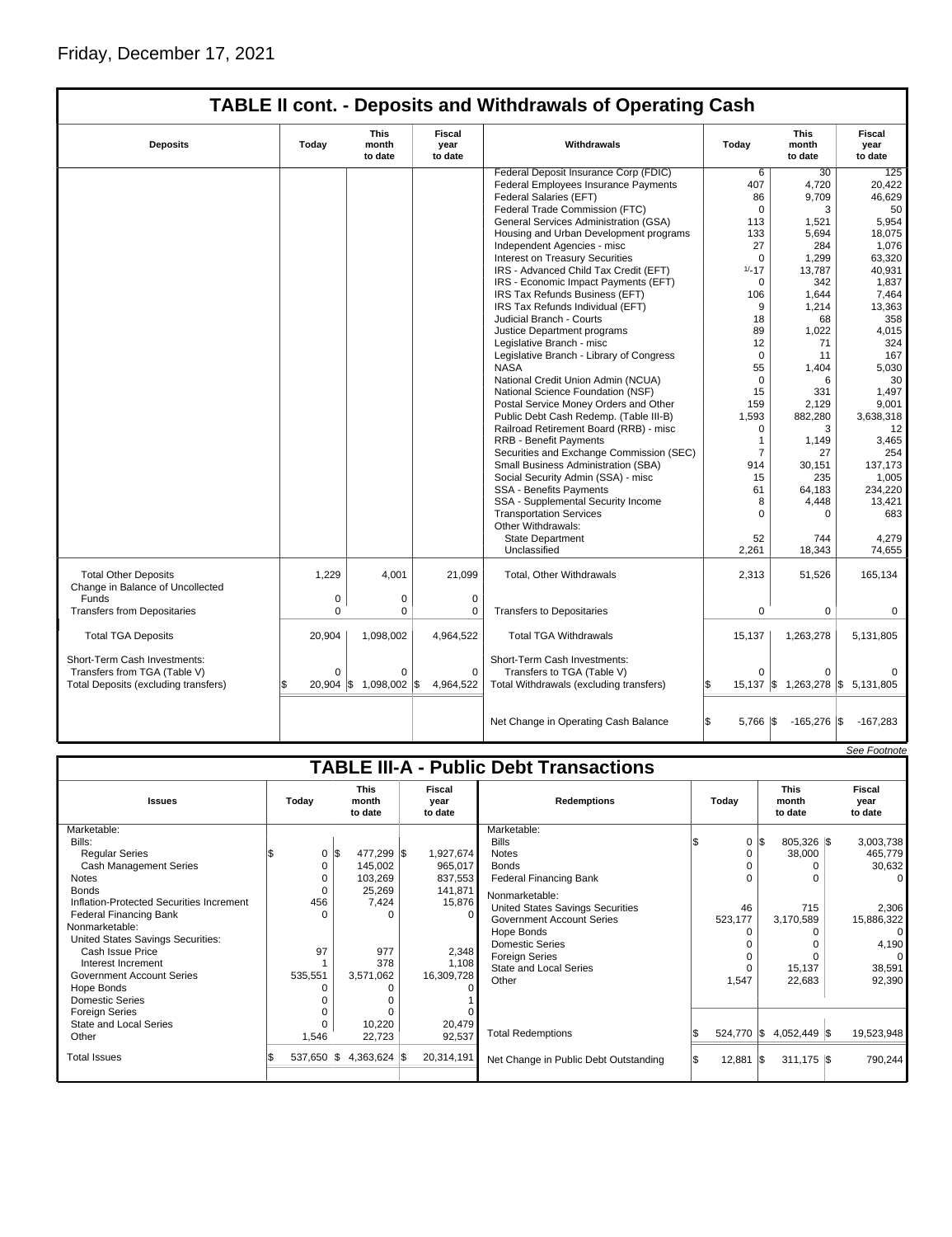| <b>TABLE II cont. - Deposits and Withdrawals of Operating Cash</b> |                                          |                        |                           |                                          |                   |                                  |                           |  |  |  |  |
|--------------------------------------------------------------------|------------------------------------------|------------------------|---------------------------|------------------------------------------|-------------------|----------------------------------|---------------------------|--|--|--|--|
| <b>Deposits</b>                                                    | <b>This</b><br>Today<br>month<br>to date |                        | Fiscal<br>year<br>to date | Withdrawals                              | Today             | <b>This</b><br>month<br>to date  | Fiscal<br>vear<br>to date |  |  |  |  |
|                                                                    |                                          |                        |                           | Federal Deposit Insurance Corp (FDIC)    | 6                 | 30                               | 125                       |  |  |  |  |
|                                                                    |                                          |                        |                           | Federal Employees Insurance Payments     | 407               | 4,720                            | 20,422                    |  |  |  |  |
|                                                                    |                                          |                        |                           | Federal Salaries (EFT)                   | 86                | 9,709                            | 46,629                    |  |  |  |  |
|                                                                    |                                          |                        |                           | Federal Trade Commission (FTC)           | $\mathbf 0$       | 3                                | 50                        |  |  |  |  |
|                                                                    |                                          |                        |                           | General Services Administration (GSA)    | 113               | 1,521                            | 5,954                     |  |  |  |  |
|                                                                    |                                          |                        |                           | Housing and Urban Development programs   | 133               | 5,694                            | 18,075                    |  |  |  |  |
|                                                                    |                                          |                        |                           | Independent Agencies - misc              | 27                | 284                              | 1,076                     |  |  |  |  |
|                                                                    |                                          |                        |                           | Interest on Treasury Securities          | $\Omega$          | 1,299                            | 63,320                    |  |  |  |  |
|                                                                    |                                          |                        |                           | IRS - Advanced Child Tax Credit (EFT)    | $1/-17$           | 13,787                           | 40,931                    |  |  |  |  |
|                                                                    |                                          |                        |                           | IRS - Economic Impact Payments (EFT)     | $\Omega$          | 342                              | 1,837                     |  |  |  |  |
|                                                                    |                                          |                        |                           | IRS Tax Refunds Business (EFT)           | 106               | 1,644                            | 7,464                     |  |  |  |  |
|                                                                    |                                          |                        |                           | IRS Tax Refunds Individual (EFT)         | 9                 | 1,214                            | 13,363                    |  |  |  |  |
|                                                                    |                                          |                        |                           | Judicial Branch - Courts                 | 18                | 68                               | 358                       |  |  |  |  |
|                                                                    |                                          |                        |                           | Justice Department programs              | 89                | 1,022                            | 4,015                     |  |  |  |  |
|                                                                    |                                          |                        |                           | Legislative Branch - misc                | 12                | 71                               | 324                       |  |  |  |  |
|                                                                    |                                          |                        |                           | Legislative Branch - Library of Congress | $\mathbf 0$       | 11                               | 167                       |  |  |  |  |
|                                                                    |                                          |                        |                           | <b>NASA</b>                              | 55                | 1,404                            | 5,030                     |  |  |  |  |
|                                                                    |                                          |                        |                           | National Credit Union Admin (NCUA)       | $\Omega$          | 6                                | 30                        |  |  |  |  |
|                                                                    |                                          |                        |                           | National Science Foundation (NSF)        | 15                | 331                              | 1.497                     |  |  |  |  |
|                                                                    |                                          |                        |                           | Postal Service Money Orders and Other    | 159               | 2,129                            | 9,001                     |  |  |  |  |
|                                                                    |                                          |                        |                           | Public Debt Cash Redemp. (Table III-B)   | 1,593             | 882,280                          | 3,638,318                 |  |  |  |  |
|                                                                    |                                          |                        |                           | Railroad Retirement Board (RRB) - misc   | 0                 | 3                                | 12                        |  |  |  |  |
|                                                                    |                                          |                        |                           | <b>RRB - Benefit Payments</b>            | $\mathbf{1}$      | 1,149                            | 3,465                     |  |  |  |  |
|                                                                    |                                          |                        |                           | Securities and Exchange Commission (SEC) | $\overline{7}$    | 27                               | 254                       |  |  |  |  |
|                                                                    |                                          |                        |                           | Small Business Administration (SBA)      | 914               | 30.151                           | 137,173                   |  |  |  |  |
|                                                                    |                                          |                        |                           | Social Security Admin (SSA) - misc       | 15                | 235                              | 1,005                     |  |  |  |  |
|                                                                    |                                          |                        |                           | <b>SSA - Benefits Payments</b>           | 61                | 64,183                           | 234,220                   |  |  |  |  |
|                                                                    |                                          |                        |                           | SSA - Supplemental Security Income       | 8                 | 4,448                            | 13,421                    |  |  |  |  |
|                                                                    |                                          |                        |                           | <b>Transportation Services</b>           | $\Omega$          | 0                                | 683                       |  |  |  |  |
|                                                                    |                                          |                        |                           | Other Withdrawals:                       |                   |                                  |                           |  |  |  |  |
|                                                                    |                                          |                        |                           | <b>State Department</b>                  | 52                | 744                              | 4,279                     |  |  |  |  |
|                                                                    |                                          |                        |                           | Unclassified                             | 2,261             | 18,343                           | 74,655                    |  |  |  |  |
|                                                                    |                                          |                        |                           |                                          |                   |                                  |                           |  |  |  |  |
| <b>Total Other Deposits</b>                                        | 1,229                                    | 4.001                  | 21,099                    | <b>Total, Other Withdrawals</b>          | 2,313             | 51,526                           | 165,134                   |  |  |  |  |
| Change in Balance of Uncollected                                   |                                          |                        |                           |                                          |                   |                                  |                           |  |  |  |  |
| Funds                                                              | 0                                        | 0                      | 0                         |                                          |                   |                                  |                           |  |  |  |  |
| <b>Transfers from Depositaries</b>                                 | $\mathbf 0$                              | 0                      | $\mathbf 0$               | <b>Transfers to Depositaries</b>         | $\mathbf 0$       | $\mathbf 0$                      | 0                         |  |  |  |  |
|                                                                    |                                          |                        |                           |                                          |                   |                                  |                           |  |  |  |  |
| <b>Total TGA Deposits</b>                                          | 20,904                                   | 1,098,002              | 4,964,522                 | <b>Total TGA Withdrawals</b>             | 15,137            | 1,263,278                        | 5,131,805                 |  |  |  |  |
| Short-Term Cash Investments:                                       |                                          |                        |                           | Short-Term Cash Investments:             |                   |                                  |                           |  |  |  |  |
| Transfers from TGA (Table V)                                       | $\Omega$                                 | $\Omega$               | $\Omega$                  | Transfers to TGA (Table V)               | $\Omega$          | $\Omega$                         |                           |  |  |  |  |
| Total Deposits (excluding transfers)                               |                                          | 20,904 \$ 1,098,002 \$ | 4,964,522                 | Total Withdrawals (excluding transfers)  | ß                 | 15,137 \$ 1,263,278 \$ 5,131,805 |                           |  |  |  |  |
|                                                                    |                                          |                        |                           |                                          |                   |                                  |                           |  |  |  |  |
|                                                                    |                                          |                        |                           | Net Change in Operating Cash Balance     | \$<br>$5,766$ \\$ | $-165,276$ \$                    | -167,283                  |  |  |  |  |

|                                               |  |                                                                                             |                                                    |                            |                                                   |                                                                                                                                                                                                                                      |                                 |                                    |                                                      | See Footnote                                                                                    |  |  |
|-----------------------------------------------|--|---------------------------------------------------------------------------------------------|----------------------------------------------------|----------------------------|---------------------------------------------------|--------------------------------------------------------------------------------------------------------------------------------------------------------------------------------------------------------------------------------------|---------------------------------|------------------------------------|------------------------------------------------------|-------------------------------------------------------------------------------------------------|--|--|
| <b>TABLE III-A - Public Debt Transactions</b> |  |                                                                                             |                                                    |                            |                                                   |                                                                                                                                                                                                                                      |                                 |                                    |                                                      |                                                                                                 |  |  |
| Today                                         |  | <b>This</b><br>Fiscal<br><b>Redemptions</b><br>Todav<br>month<br>year<br>to date<br>to date |                                                    |                            |                                                   |                                                                                                                                                                                                                                      | <b>This</b><br>month<br>to date |                                    | Fiscal<br>year<br>to date                            |                                                                                                 |  |  |
|                                               |  |                                                                                             |                                                    |                            | Marketable:                                       |                                                                                                                                                                                                                                      |                                 |                                    |                                                      |                                                                                                 |  |  |
|                                               |  |                                                                                             |                                                    |                            | <b>Bills</b>                                      |                                                                                                                                                                                                                                      |                                 |                                    |                                                      | 3,003,738                                                                                       |  |  |
|                                               |  |                                                                                             |                                                    | 1,927,674                  | <b>Notes</b>                                      |                                                                                                                                                                                                                                      | 0                               |                                    |                                                      | 465,779                                                                                         |  |  |
|                                               |  | 145,002                                                                                     |                                                    | 965,017                    | <b>Bonds</b>                                      |                                                                                                                                                                                                                                      |                                 |                                    |                                                      | 30,632                                                                                          |  |  |
|                                               |  | 103,269                                                                                     |                                                    | 837,553                    | <b>Federal Financing Bank</b>                     |                                                                                                                                                                                                                                      |                                 |                                    |                                                      | 0                                                                                               |  |  |
|                                               |  | 25,269                                                                                      |                                                    | 141.871                    |                                                   |                                                                                                                                                                                                                                      |                                 |                                    |                                                      |                                                                                                 |  |  |
|                                               |  | 7,424                                                                                       |                                                    |                            |                                                   |                                                                                                                                                                                                                                      |                                 |                                    |                                                      | 2,306                                                                                           |  |  |
|                                               |  | O                                                                                           |                                                    |                            |                                                   |                                                                                                                                                                                                                                      |                                 |                                    |                                                      | 15,886,322                                                                                      |  |  |
|                                               |  |                                                                                             |                                                    |                            |                                                   |                                                                                                                                                                                                                                      |                                 |                                    |                                                      | 0                                                                                               |  |  |
|                                               |  |                                                                                             |                                                    |                            |                                                   |                                                                                                                                                                                                                                      |                                 |                                    |                                                      | 4,190                                                                                           |  |  |
|                                               |  | 977                                                                                         |                                                    | 2,348                      |                                                   |                                                                                                                                                                                                                                      |                                 |                                    |                                                      | 0                                                                                               |  |  |
|                                               |  |                                                                                             |                                                    |                            |                                                   |                                                                                                                                                                                                                                      |                                 |                                    |                                                      | 38,591                                                                                          |  |  |
|                                               |  |                                                                                             |                                                    |                            |                                                   |                                                                                                                                                                                                                                      |                                 |                                    |                                                      | 92,390                                                                                          |  |  |
|                                               |  |                                                                                             |                                                    |                            |                                                   |                                                                                                                                                                                                                                      |                                 |                                    |                                                      |                                                                                                 |  |  |
|                                               |  |                                                                                             |                                                    |                            |                                                   |                                                                                                                                                                                                                                      |                                 |                                    |                                                      |                                                                                                 |  |  |
|                                               |  |                                                                                             |                                                    |                            |                                                   |                                                                                                                                                                                                                                      |                                 |                                    |                                                      |                                                                                                 |  |  |
|                                               |  |                                                                                             |                                                    |                            |                                                   |                                                                                                                                                                                                                                      |                                 |                                    |                                                      |                                                                                                 |  |  |
|                                               |  |                                                                                             |                                                    |                            |                                                   |                                                                                                                                                                                                                                      |                                 |                                    |                                                      | 19,523,948                                                                                      |  |  |
|                                               |  |                                                                                             |                                                    | 20,314,191                 | Net Change in Public Debt Outstanding             |                                                                                                                                                                                                                                      |                                 |                                    |                                                      | 790,244                                                                                         |  |  |
|                                               |  | 0<br>0<br>O<br>$\Omega$<br>456<br>$\Omega$<br>97<br>535,551<br>1,546<br>537,650             | l\$<br>378<br>3,571,062<br>10,220<br>22,723<br>1\$ | 477,299 \$<br>4,363,624 \$ | 15,876<br>1,108<br>16,309,728<br>20,479<br>92,537 | Nonmarketable:<br><b>United States Savings Securities</b><br><b>Government Account Series</b><br>Hope Bonds<br><b>Domestic Series</b><br><b>Foreign Series</b><br><b>State and Local Series</b><br>Other<br><b>Total Redemptions</b> |                                 | 46<br>523,177<br>$\Omega$<br>1,547 | $0 \text{ }   \text{S}$<br>524,770 \$<br>$12,881$ \$ | 805,326 \$<br>38,000<br>715<br>3,170,589<br>15,137<br>22,683<br>$4,052,449$ \\$<br>$311,175$ \$ |  |  |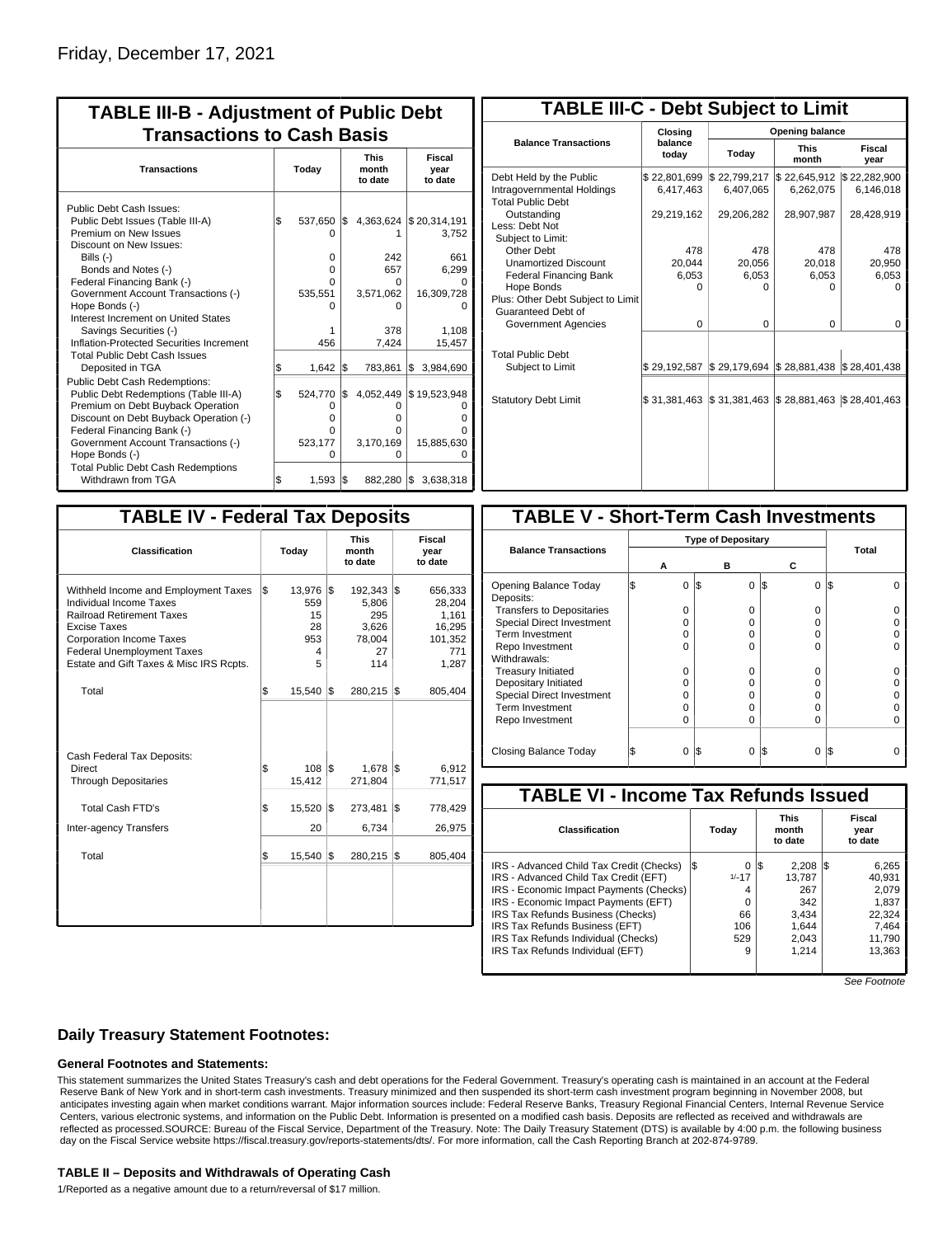| Today                                                            | <b>This</b><br>month<br>to date                              | Fiscal                                                                 |
|------------------------------------------------------------------|--------------------------------------------------------------|------------------------------------------------------------------------|
|                                                                  |                                                              | year<br>to date                                                        |
| 537,650<br>O<br>$\Omega$<br>$\Omega$<br>O<br>535,551<br>O<br>456 | 4,363,624<br>1\$<br>242<br>657<br>O<br>3,571,062<br>0<br>378 | \$20,314,191<br>3,752<br>661<br>6.299<br>16,309,728<br>1,108<br>15,457 |
| 1,642<br>524,770<br>0<br>$\Omega$<br>O<br>523,177<br>$\Omega$    | 783,861<br>4,052,449<br>O<br>o<br>O<br>3,170,169<br>0        | 3,984,690<br>l\$<br>\$19,523,948<br>ი<br>15,885,630                    |
|                                                                  |                                                              | 7,424<br>l\$<br>\$<br>1,593<br>882,280 \$<br>l\$                       |

| <b>TABLE III-C - Debt Subject to Limit</b>                                        |                           |                                                   |                           |                           |  |  |  |  |  |  |  |
|-----------------------------------------------------------------------------------|---------------------------|---------------------------------------------------|---------------------------|---------------------------|--|--|--|--|--|--|--|
|                                                                                   | Closina                   | Opening balance                                   |                           |                           |  |  |  |  |  |  |  |
| <b>Balance Transactions</b>                                                       | balance<br>Today<br>today |                                                   | <b>This</b><br>month      | Fiscal<br>year            |  |  |  |  |  |  |  |
| Debt Held by the Public<br>Intragovernmental Holdings<br><b>Total Public Debt</b> | \$22,801,699<br>6,417,463 | \$22,799,217<br>6,407,065                         | \$22,645,912<br>6,262,075 | \$22,282,900<br>6,146,018 |  |  |  |  |  |  |  |
| Outstanding<br>Less: Debt Not<br>Subject to Limit:                                | 29,219,162                | 29,206,282                                        | 28,907,987                | 28,428,919                |  |  |  |  |  |  |  |
| Other Debt                                                                        | 478                       | 478                                               | 478                       | 478                       |  |  |  |  |  |  |  |
| <b>Unamortized Discount</b>                                                       | 20,044                    | 20,056                                            | 20,018                    | 20,950                    |  |  |  |  |  |  |  |
| <b>Federal Financing Bank</b>                                                     | 6,053                     | 6,053                                             | 6,053                     | 6,053                     |  |  |  |  |  |  |  |
| Hope Bonds                                                                        | 0                         | O                                                 | U                         | n                         |  |  |  |  |  |  |  |
| Plus: Other Debt Subject to Limit<br>Guaranteed Debt of                           |                           |                                                   |                           |                           |  |  |  |  |  |  |  |
| Government Agencies                                                               | $\Omega$                  | $\Omega$                                          | $\Omega$                  | $\Omega$                  |  |  |  |  |  |  |  |
| <b>Total Public Debt</b><br>Subject to Limit                                      | \$29,192,587              | $\frac{1}{2}$ 29,179,694 $\frac{1}{2}$ 28,881,438 |                           | \$28,401,438              |  |  |  |  |  |  |  |
|                                                                                   |                           |                                                   |                           |                           |  |  |  |  |  |  |  |
| <b>Statutory Debt Limit</b>                                                       | \$31,381,463              | \$31,381,463                                      | $\$28,881,463$            | \$28,401,463              |  |  |  |  |  |  |  |
|                                                                                   |                           |                                                   |                           |                           |  |  |  |  |  |  |  |

| <b>TABLE IV - Federal Tax Deposits</b>                                                                                                                                                                                                        |       |                                            |     |                                                         |     |                                                                 |  |  |  |  |
|-----------------------------------------------------------------------------------------------------------------------------------------------------------------------------------------------------------------------------------------------|-------|--------------------------------------------|-----|---------------------------------------------------------|-----|-----------------------------------------------------------------|--|--|--|--|
| <b>Classification</b>                                                                                                                                                                                                                         | Today |                                            |     | <b>This</b><br>month<br>to date                         |     | <b>Fiscal</b><br>year<br>to date                                |  |  |  |  |
| Withheld Income and Employment Taxes<br>Individual Income Taxes<br><b>Railroad Retirement Taxes</b><br><b>Excise Taxes</b><br><b>Corporation Income Taxes</b><br><b>Federal Unemployment Taxes</b><br>Estate and Gift Taxes & Misc IRS Rcpts. | \$    | 13,976<br>559<br>15<br>28<br>953<br>4<br>5 | l\$ | 192,343<br>5.806<br>295<br>3,626<br>78,004<br>27<br>114 | 1\$ | 656,333<br>28.204<br>1,161<br>16,295<br>101,352<br>771<br>1,287 |  |  |  |  |
| Total                                                                                                                                                                                                                                         | \$    | $15,540$ $\sqrt{5}$                        |     | 280,215                                                 | 1\$ | 805,404                                                         |  |  |  |  |
| Cash Federal Tax Deposits:<br>Direct<br><b>Through Depositaries</b>                                                                                                                                                                           | \$    | 108<br>15,412                              | I\$ | 1,678<br>271,804                                        | l\$ | 6,912<br>771,517                                                |  |  |  |  |
| <b>Total Cash FTD's</b><br>Inter-agency Transfers                                                                                                                                                                                             | \$    | 15,520<br>20                               | 1\$ | 273,481<br>6,734                                        | 1\$ | 778,429<br>26,975                                               |  |  |  |  |
| Total                                                                                                                                                                                                                                         | \$    | $15,540$ $\sqrt{5}$                        |     | 280,215                                                 | 1\$ | 805,404                                                         |  |  |  |  |
|                                                                                                                                                                                                                                               |       |                                            |     |                                                         |     |                                                                 |  |  |  |  |

| <b>TABLE V - Short-Term Cash Investments</b> |   |                           |     |          |                 |       |  |  |  |  |  |
|----------------------------------------------|---|---------------------------|-----|----------|-----------------|-------|--|--|--|--|--|
|                                              |   | <b>Type of Depositary</b> |     |          |                 |       |  |  |  |  |  |
| <b>Balance Transactions</b>                  |   |                           |     |          |                 | Total |  |  |  |  |  |
|                                              | А |                           |     | в        | С               |       |  |  |  |  |  |
| Opening Balance Today<br>Deposits:           |   | 0                         | l\$ | $\Omega$ | 1\$<br>0        | 1\$   |  |  |  |  |  |
| <b>Transfers to Depositaries</b>             |   | O                         |     | 0        | 0               |       |  |  |  |  |  |
| <b>Special Direct Investment</b>             |   | O                         |     | O        | 0               |       |  |  |  |  |  |
| Term Investment                              |   | 0                         |     | O        | 0               |       |  |  |  |  |  |
| Repo Investment                              |   | O                         |     | $\Omega$ | $\Omega$        |       |  |  |  |  |  |
| Withdrawals:                                 |   |                           |     |          |                 |       |  |  |  |  |  |
| <b>Treasury Initiated</b>                    |   | O                         |     | 0        | 0               |       |  |  |  |  |  |
| Depositary Initiated                         |   | O                         |     | O        | 0               |       |  |  |  |  |  |
| <b>Special Direct Investment</b>             |   | O                         |     | O        | 0               |       |  |  |  |  |  |
| <b>Term Investment</b>                       |   | ი                         |     | 0        | 0               |       |  |  |  |  |  |
| Repo Investment                              |   | O                         |     | 0        | $\Omega$        |       |  |  |  |  |  |
|                                              |   |                           |     |          |                 |       |  |  |  |  |  |
| Closing Balance Today                        |   | 0                         | I\$ | 0        | I\$<br>$\Omega$ | I\$   |  |  |  |  |  |

| <b>TABLE VI - Income Tax Refunds Issued</b>                                                                                                                                                                                                                                                                            |     |                                                        |                                 |                                                                   |     |                                                                          |  |  |  |
|------------------------------------------------------------------------------------------------------------------------------------------------------------------------------------------------------------------------------------------------------------------------------------------------------------------------|-----|--------------------------------------------------------|---------------------------------|-------------------------------------------------------------------|-----|--------------------------------------------------------------------------|--|--|--|
| Classification                                                                                                                                                                                                                                                                                                         |     | Today                                                  | <b>This</b><br>month<br>to date |                                                                   |     | Fiscal<br>year<br>to date                                                |  |  |  |
| IRS - Advanced Child Tax Credit (Checks)<br>IRS - Advanced Child Tax Credit (EFT)<br>IRS - Economic Impact Payments (Checks)<br>IRS - Economic Impact Payments (EFT)<br>IRS Tax Refunds Business (Checks)<br>IRS Tax Refunds Business (EFT)<br>IRS Tax Refunds Individual (Checks)<br>IRS Tax Refunds Individual (EFT) | l\$ | 0<br>$1/-17$<br>4<br>$\Omega$<br>66<br>106<br>529<br>9 | 13                              | 2.208<br>13.787<br>267<br>342<br>3,434<br>1,644<br>2,043<br>1.214 | I\$ | 6,265<br>40.931<br>2.079<br>1.837<br>22.324<br>7.464<br>11,790<br>13,363 |  |  |  |

See Footnote

### **Daily Treasury Statement Footnotes:**

#### **General Footnotes and Statements:**

This statement summarizes the United States Treasury's cash and debt operations for the Federal Government. Treasury's operating cash is maintained in an account at the Federal Reserve Bank of New York and in short-term cash investments. Treasury minimized and then suspended its short-term cash investment program beginning in November 2008, but anticipates investing again when market conditions warrant. Major information sources include: Federal Reserve Banks, Treasury Regional Financial Centers, Internal Revenue Service Centers, various electronic systems, and information on the Public Debt. Information is presented on a modified cash basis. Deposits are reflected as received and withdrawals are reflected as processed.SOURCE: Bureau of the Fiscal Service, Department of the Treasury. Note: The Daily Treasury Statement (DTS) is available by 4:00 p.m. the following business day on the Fiscal Service website https://fiscal.treasury.gov/reports-statements/dts/. For more information, call the Cash Reporting Branch at 202-874-9789.

#### **TABLE II – Deposits and Withdrawals of Operating Cash**

1/Reported as a negative amount due to a return/reversal of \$17 million.